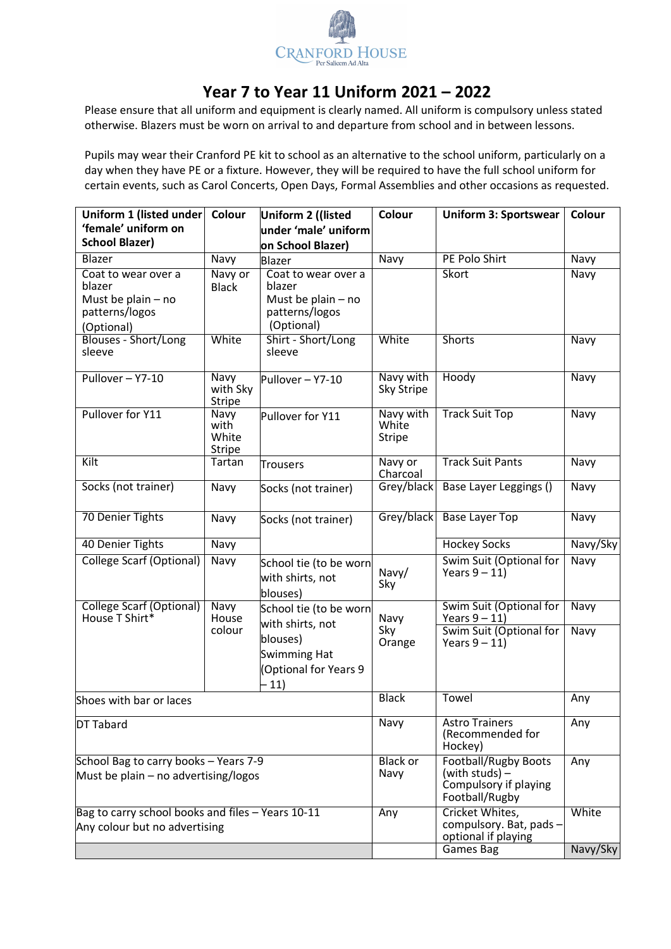

## **Year 7 to Year 11 Uniform 2021 – 2022**

Please ensure that all uniform and equipment is clearly named. All uniform is compulsory unless stated otherwise. Blazers must be worn on arrival to and departure from school and in between lessons.

Pupils may wear their Cranford PE kit to school as an alternative to the school uniform, particularly on a day when they have PE or a fixture. However, they will be required to have the full school uniform for certain events, such as Carol Concerts, Open Days, Formal Assemblies and other occasions as requested.

| Uniform 1 (listed under                                                               | Colour                                 | Uniform 2 ((listed                                                                             | <b>Colour</b>                       | <b>Uniform 3: Sportswear</b>                                                               | Colour            |
|---------------------------------------------------------------------------------------|----------------------------------------|------------------------------------------------------------------------------------------------|-------------------------------------|--------------------------------------------------------------------------------------------|-------------------|
| 'female' uniform on                                                                   |                                        | under 'male' uniform                                                                           |                                     |                                                                                            |                   |
| <b>School Blazer)</b>                                                                 |                                        | on School Blazer)                                                                              |                                     |                                                                                            |                   |
| Blazer                                                                                | Navy                                   | Blazer                                                                                         | Navy                                | PE Polo Shirt                                                                              | Navy              |
| Coat to wear over a<br>blazer<br>Must be plain $-$ no<br>patterns/logos<br>(Optional) | Navy or<br><b>Black</b>                | Skort<br>Coat to wear over a<br>blazer<br>Must be plain $-$ no<br>patterns/logos<br>(Optional) |                                     |                                                                                            | Navy              |
| <b>Blouses - Short/Long</b><br>sleeve                                                 | White                                  | Shirt - Short/Long<br>sleeve                                                                   | White                               | Shorts                                                                                     | Navy              |
| Pullover-Y7-10                                                                        | Navy<br>with Sky<br><b>Stripe</b>      | Pullover - Y7-10                                                                               | Navy with<br>Sky Stripe             | Hoody                                                                                      | Navy              |
| Pullover for Y11                                                                      | Navy<br>with<br>White<br><b>Stripe</b> | Pullover for Y11                                                                               | Navy with<br>White<br><b>Stripe</b> | <b>Track Suit Top</b>                                                                      | Navy              |
| Kilt                                                                                  | Tartan                                 | <b>Trousers</b>                                                                                | Navy or<br>Charcoal                 | <b>Track Suit Pants</b>                                                                    | Navy              |
| Socks (not trainer)                                                                   | Navy                                   | Socks (not trainer)                                                                            | Grey/black                          | Base Layer Leggings ()                                                                     | Navy              |
| 70 Denier Tights                                                                      | Navy                                   | Socks (not trainer)                                                                            | Grey/black                          | <b>Base Layer Top</b>                                                                      | Navy              |
| 40 Denier Tights                                                                      | Navy                                   |                                                                                                |                                     | <b>Hockey Socks</b>                                                                        | Navy/Sky          |
| <b>College Scarf (Optional)</b>                                                       | Navy                                   | School tie (to be worn<br>with shirts, not<br>blouses)                                         | Navy/<br>Sky                        | Swim Suit (Optional for<br>Years $9 - 11$ )                                                | Navy              |
| <b>College Scarf (Optional)</b><br>House T Shirt*                                     | Navy<br>House<br>colour                | School tie (to be worn<br>with shirts, not<br>blouses)<br><b>Swimming Hat</b>                  | Navy<br>Sky<br>Orange               | Swim Suit (Optional for<br>Years $9 - 11$ )<br>Swim Suit (Optional for<br>Years $9 - 11$ ) | Navy<br>Navy      |
|                                                                                       |                                        | (Optional for Years 9<br>$-11)$                                                                |                                     |                                                                                            |                   |
| Shoes with bar or laces                                                               |                                        |                                                                                                | <b>Black</b>                        | Towel                                                                                      | Any               |
| DT Tabard                                                                             |                                        |                                                                                                | Navy                                | <b>Astro Trainers</b><br>(Recommended for<br>Hockey)                                       | Any               |
| School Bag to carry books - Years 7-9<br>Must be plain - no advertising/logos         |                                        |                                                                                                | <b>Black or</b><br>Navy             | <b>Football/Rugby Boots</b><br>(with studs) -<br>Compulsory if playing<br>Football/Rugby   | Any               |
| Bag to carry school books and files - Years 10-11<br>Any colour but no advertising    |                                        |                                                                                                | Any                                 | Cricket Whites,<br>compulsory. Bat, pads -<br>optional if playing<br>Games Bag             | White<br>Navy/Sky |